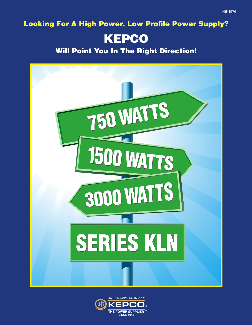**Looking For A High Power, Low Profile Power Supply?**

## **KEPCO**

**Will Point You In The Right Direction!**



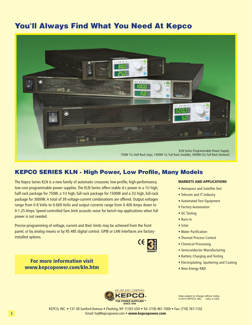## **You'll Always Find What You Need At Kepco**



## **KEPCO SERIES KLN - High Power, Low Profile, Many Models**

The Kepco Series KLN is a new family of automatic crossover, low-profile, high-performance, low-cost programmable power supplies. The KLN Series offers stable d-c power in a 1U high, half-rack package for 750W, a 1U high, full-rack package for 1500W and a 2U high, full-rack package for 3000W. A total of 39 voltage-current combinations are offered. Output voltages range from 0-6 Volts to 0-600 Volts and output currents range from 0-400 Amps down to 0-1.25 Amps. Speed-controlled fans limit acoustic noise for bench-top applications when full power is not needed.

Precise programming of voltage, current and their limits may be achieved from the front panel, or by analog means or by RS 485 digital control. GPIB or LAN interfaces are factoryinstalled options.

**MARKETS AND APPLICATIONS**

- Aerospace and Satellite Test
- Telecom and IT Industry
- Automated Test Equipment
- Factory Automation
- QC Testing
- Burn-in
- Solar
- Water Purification
- Thermal Process Control
- Chemical Processing
- Semiconductor Manufacturing
- Battery Charging and Testing
- Electroplating, Sputtering and Coating
- New Energy R&D



Data subject to change without notice. © 2013 KEPCO, INC. Litho in USA

KEPCO, INC. • 131-38 Sanford Avenue • Flushing, NY 11355 USA • Tel: (718) 461-7000 • Fax: (718) 767-1102 Email: hq@kepcopower.com • **www.kepcopower.com**

**For more information visit www.kepcopower.com/kln.htm**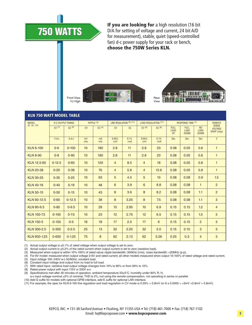

**If you are looking for** a high resolution (16 bit D/A for setting of voltage and current, 24 bit A/D for measurement), stable, quiet (speed-controlled fan) d-c power supply for your rack or bench, **choose the 750W Series KLN.**



#### **KLN 750 WATT MODEL TABLE**

| <b>MODEL</b><br>$(8)$ $(9)$ $(10)$ |            | <b>D-C OUTPUT RANGE</b> | RIPPLE <sup>(3)</sup> |                   | LINE REGULATION (5) (11) |               | <b>LOAD REGULATION (11)</b> |               |                                         | <b>RESPONSE TIME (7)</b>                  |                                              | <b>REMOTE</b>                                |
|------------------------------------|------------|-------------------------|-----------------------|-------------------|--------------------------|---------------|-----------------------------|---------------|-----------------------------------------|-------------------------------------------|----------------------------------------------|----------------------------------------------|
|                                    | CV(1)      | CC(2)                   | <b>CV</b>             | CC <sup>(4)</sup> | CV                       | cc            | CV(6)                       | CC(6)         | <b>FULL</b><br><b>LOAD</b><br><b>UP</b> | <b>FULL</b><br><b>LOAD</b><br><b>DOWN</b> | N <sub>O</sub><br><b>LOAD</b><br><b>DOWN</b> | <b>SENSE</b><br><b>VOLTAGE</b><br>DROP (max) |
|                                    | $V$ d-c    | A d-c                   | mV<br>rms             | mA<br>rms         | 0.05%<br>$+mV$           | 0.1%<br>$+mA$ | 0.05%<br>$+mV$              | 0.1%<br>$+mA$ | Sec                                     | Sec                                       | Sec                                          | V                                            |
| <b>KLN 6-100</b>                   | $0-6$      | $0 - 100$               | 10                    | 180               | 2.8                      | 11            | 2.8                         | 23            | 0.08                                    | 0.05                                      | 0.6                                          | $\mathbf{1}$                                 |
| <b>KLN 8-90</b>                    | $0 - 8$    | $0 - 90$                | 10                    | 180               | 2.8                      | 11            | 2.8                         | 23            | 0.08                                    | 0.05                                      | 0.6                                          | $\mathbf{1}$                                 |
| KLN 12.5-60                        | $0 - 12.5$ | $0 - 60$                | 10                    | 120               | $\overline{4}$           | 8.5           | $\overline{4}$              | 18            | 0.08                                    | 0.05                                      | 0.8                                          | $\mathbf{1}$                                 |
| <b>KLN 20-38</b>                   | $0 - 20$   | $0 - 38$                | 10                    | 76                | $\overline{4}$           | 5.8           | $\overline{4}$              | 12.6          | 0.08                                    | 0.05                                      | 0.8                                          | $\mathbf{1}$                                 |
| <b>KLN 30-25</b>                   | $0 - 30$   | $0 - 25$                | 10                    | 63                | 5                        | 4.5           | 5                           | 10            | 0.08                                    | 0.08                                      | 0.9                                          | 1.5                                          |
| <b>KLN 40-19</b>                   | $0 - 40$   | $0 - 19$                | 10                    | 48                | 6                        | 3.9           | 6                           | 8.8           | 0.08                                    | 0.08                                      | $\mathbf{1}$                                 | 2                                            |
| <b>KLN 50-15</b>                   | $0 - 50$   | $0 - 15$                | 10                    | 43                | 8                        | 3.6           | 8                           | 8.2           | 0.08                                    | 0.08                                      | 1.1                                          | 2                                            |
| KLN 60-12.5                        | $0 - 60$   | $0 - 12.5$              | 10                    | 38                | 8                        | 3.25          | 8                           | 7.5           | 0.08                                    | 0.08                                      | 1.1                                          | 3                                            |
| <b>KLN 80-9.5</b>                  | $0 - 80$   | $0 - 9.5$               | 10                    | 29                | 10 <sup>10</sup>         | 2.95          | 10                          | 6.9           | 0.15                                    | 0.15                                      | 1.2                                          | $\overline{4}$                               |
| <b>KLN 100-7.5</b>                 | $0 - 100$  | $0 - 7.5$               | 10                    | 23                | 12                       | 2.75          | 12                          | 6.5           | 0.15                                    | 0.15                                      | 1.5                                          | 5                                            |
| <b>KLN 150-5</b>                   | $0 - 150$  | $0 - 5$                 | 16                    | 18                | 17                       | 2.5           | 17                          | 6             | 0.15                                    | 0.15                                      | 2                                            | 5                                            |
| KLN 300-2.5                        | $0 - 300$  | $0 - 2.5$               | 25                    | 13                | 32                       | 2.25          | 32                          | 5.5           | 0.15                                    | 0.15                                      | 3                                            | 5                                            |
| KLN 600-1.25                       | $0 - 600$  | $0 - 1.25$              | 75                    | 8                 | 62                       | 2.13          | 62                          | 5.26          | 0.25                                    | 0.3                                       | $\overline{4}$                               | 5                                            |

(1) Actual output voltage is ≤0.1% of rated voltage when output voltage is set to zero.

(2) Actual output current is ≤0.2% of the rated current when output current is set to zero (resistive load).

(3) Measured when output is within 10%-100% of rated value; ripple bandwidth: 300kHz (rms), noise bandwidth: <20MHz (p-p).

(4) For 6V model: measured when output voltage 2-6V and rated current; all other models measured when output 10-100% of rated voltage and rated current.

(5) Input voltage 100~240V a-c 50/60Hz, constant load.

(6) Constant input voltage and output from no load to full load.

(7) With rated input, resistive load output voltage changes from 10% to 90% or from 90% to 10%.

(8) Rated power output with input 115V or 230V a-c

(9) Specifications met after 30 minutes of operation, ambient temperature 23±5°C, humidity under 80% R. H,

a-c input voltage nominal ±5% of nominal, THD is 2%, not using the remote compensation, not operating in series or parallel.

(10) Add G suffix for models with optional GPIB interface, add E suffix for optional LAN interface.

(11) For example, the spec for KLN 6-100 line regulation and load regulation in CV mode is 0.05% + 2.8mV (or 6 x 0.0005 = +3mV + 2.8mV = 5.8mV).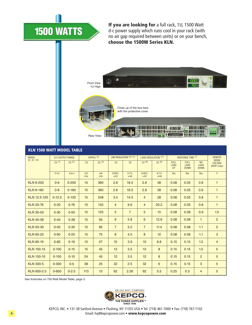# **1500 WATTS**

**If you are looking for** a full rack, 1U, 1500 Watt d-c power supply which runs cool in your rack (with no air gap required between units) or on your bench, **choose the 1500W Series KLN.**



| <b>KLN 1500 WATT MODEL TABLE</b> |            |                         |           |                   |                |                          |                |                             |                                         |                                           |                                              |                                              |
|----------------------------------|------------|-------------------------|-----------|-------------------|----------------|--------------------------|----------------|-----------------------------|-----------------------------------------|-------------------------------------------|----------------------------------------------|----------------------------------------------|
| <b>MODEL</b>                     |            | <b>D-C OUTPUT RANGE</b> |           | $RIPPLE$ (3)      |                | LINE REGULATION (5) (11) |                | <b>LOAD REGULATION (11)</b> |                                         | <b>RESPONSE TIME (7)</b>                  |                                              | <b>REMOTE</b>                                |
| $(8)$ $(9)$ $(10)$               | CV(1)      | CC(2)                   | <b>CV</b> | CC <sup>(4)</sup> | <b>CV</b>      | CC                       | CV(6)          | CC(6)                       | <b>FULL</b><br><b>LOAD</b><br><b>UP</b> | <b>FULL</b><br><b>LOAD</b><br><b>DOWN</b> | N <sub>O</sub><br><b>LOAD</b><br><b>DOWN</b> | <b>SENSE</b><br><b>VOLTAGE</b><br>DROP (max) |
|                                  | $V$ d-c    | $A$ d-c                 | mV<br>rms | mA<br>rms         | 0.05%<br>$+mV$ | 0.1%<br>$+mA$            | 0.05%<br>$+mV$ | 0.1%<br>$+mA$               | Sec                                     | <b>Sec</b>                                | Sec                                          | V                                            |
| <b>KLN 6-200</b>                 | $0-6$      | $0 - 200$               | 15        | 360               | 2.8            | 18.5                     | 2.8            | 38                          | 0.08                                    | 0.05                                      | 0.6                                          | $\mathbf{1}$                                 |
| <b>KLN 8-180</b>                 | $0 - 8$    | $0 - 180$               | 15        | 360               | 2.8            | 18.5                     | 2.8            | 38                          | 0.08                                    | 0.05                                      | 0.6                                          | $\mathbf{1}$                                 |
| KLN 12.5-120                     | $0 - 12.5$ | $0 - 120$               | 15        | 248               | 3.4            | 14.5                     | $\overline{4}$ | 28                          | 0.08                                    | 0.05                                      | 0.8                                          | $\mathbf{1}$                                 |
| <b>KLN 20-76</b>                 | $0 - 20$   | $0 - 76$                | 15        | 152               | $\overline{4}$ | 9.6                      | $\overline{4}$ | 20.2                        | 0.08                                    | 0.05                                      | 0.8                                          | $\mathbf{1}$                                 |
| <b>KLN 30-50</b>                 | $0 - 30$   | $0 - 50$                | 15        | 125               | 5              | $\overline{7}$           | 5              | 15                          | 0.08                                    | 0.08                                      | 0.9                                          | 1.5                                          |
| <b>KLN 40-38</b>                 | $0 - 40$   | $0 - 38$                | 15        | 95                | 6              | 5.8                      | 6              | 12.6                        | 0.08                                    | 0.08                                      | $\mathbf{1}$                                 | $\overline{2}$                               |
| <b>KLN 50-30</b>                 | $0 - 50$   | $0 - 30$                | 15        | 85                | $\overline{7}$ | 5.2                      | $\overline{7}$ | 11.4                        | 0.08                                    | 0.08                                      | 1.1                                          | 2                                            |
| <b>KLN 60-25</b>                 | $0 - 60$   | $0 - 25$                | 15        | 75                | 8              | 4.5                      | 8              | 10                          | 0.08                                    | 0.08                                      | 1.1                                          | 3                                            |
| <b>KLN 80-19</b>                 | $0 - 80$   | $0 - 19$                | 15        | 57                | 10             | 3.9                      | 10             | 8.8                         | 0.15                                    | 0.15                                      | 1.2                                          | $\overline{4}$                               |
| <b>KLN 100-15</b>                | $0 - 100$  | $0 - 15$                | 15        | 45                | 12             | 3.5                      | 12             | 8                           | 0.15                                    | 0.15                                      | 1.5                                          | 5                                            |
| <b>KLN 150-10</b>                | $0 - 150$  | $0 - 10$                | 24        | 45                | 12             | 3.5                      | 12             | 8                           | 0.15                                    | 0.15                                      | 2                                            | 5                                            |
| <b>KLN 300-5</b>                 | $0 - 300$  | $0 - 5$                 | 38        | 25                | 32             | 2.5                      | 32             | 6                           | 0.15                                    | 0.15                                      | 3                                            | 5                                            |
| KLN 600-2.5                      | $0 - 600$  | $0 - 2.5$               | 113       | 15                | 62             | 2.26                     | 62             | 5.5                         | 0.25                                    | 0.3                                       | $\overline{4}$                               | 5                                            |

See footnotes on 750 Watt Model Table, page 3.



KEPCO, INC. • 131-38 Sanford Avenue • Flushing, NY 11355 USA • Tel: (718) 461-7000 • Fax: (718) 767-1102 Email: hq@kepcopower.com • **www.kepcopower.com**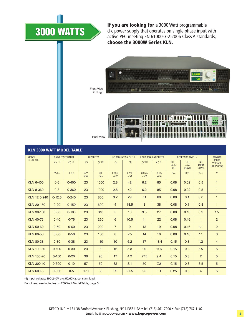## **3000 WATTS**

**If you are looking for** a 3000 Watt programmable d-c power supply that operates on single phase input with active PFC meeting EN 61000-3-2:2006 Class A standards, **choose the 3000W Series KLN.**



Front View 2U High



| <b>KLN 3000 WATT MODEL TABLE</b> |            |                         |           |                   |                |                          |                |                             |                                         |                                           |                                              |                                              |
|----------------------------------|------------|-------------------------|-----------|-------------------|----------------|--------------------------|----------------|-----------------------------|-----------------------------------------|-------------------------------------------|----------------------------------------------|----------------------------------------------|
| <b>MODEL</b>                     |            | <b>D-C OUTPUT RANGE</b> |           | $RIPPLE$ (3)      |                | LINE REGULATION (5) (11) |                | <b>LOAD REGULATION (11)</b> |                                         | RESPONSE TIME (7)                         |                                              | <b>REMOTE</b>                                |
| $(8)$ $(9)$ $(10)$               | CV(1)      | CC(2)                   | CV        | CC <sup>(4)</sup> | CV             | cc                       | CV(6)          | CC <sup>(6)</sup>           | <b>FULL</b><br><b>LOAD</b><br><b>UP</b> | <b>FULL</b><br><b>LOAD</b><br><b>DOWN</b> | N <sub>O</sub><br><b>LOAD</b><br><b>DOWN</b> | <b>SENSE</b><br><b>VOLTAGE</b><br>DROP (max) |
|                                  | $V$ d-c    | $A$ d-c                 | mV<br>rms | mA<br>rms         | 0.05%<br>$+mV$ | 0.1%<br>$+mA$            | 0.05%<br>$+mV$ | 0.1%<br>$+mA$               | Sec                                     | Sec                                       | Sec                                          | V                                            |
| <b>KLN 6-400</b>                 | $0-6$      | $0 - 400$               | 23        | 1000              | 2.8            | 42                       | 6.2            | 85                          | 0.08                                    | 0.02                                      | 0.5                                          | $\mathbf{1}$                                 |
| <b>KLN 8-360</b>                 | $0 - 8$    | $0 - 360$               | 23        | 1000              | 2.8            | 42                       | 6.2            | 85                          | 0.08                                    | 0.02                                      | 0.5                                          | $\mathbf{1}$                                 |
| KLN 12.5-240                     | $0 - 12.5$ | $0 - 240$               | 23        | 800               | 3.2            | 29                       | 7.1            | 60                          | 0.08                                    | 0.1                                       | 0.8                                          | $\mathbf{1}$                                 |
| <b>KLN 20-150</b>                | $0 - 20$   | $0 - 150$               | 23        | 600               | $\overline{4}$ | 18.5                     | 8              | 38                          | 0.08                                    | 0.1                                       | 0.8                                          | $\mathbf{1}$                                 |
| <b>KLN 30-100</b>                | $0 - 30$   | $0 - 100$               | 23        | 310               | 5              | 13                       | 9.5            | 27                          | 0.08                                    | 0.16                                      | 0.9                                          | 1.5                                          |
| <b>KLN 40-76</b>                 | $0 - 40$   | $0 - 76$                | 23        | 250               | 6              | 10.5                     | 11             | 22                          | 0.08                                    | 0.16                                      | $\mathbf{1}$                                 | $\overline{2}$                               |
| <b>KLN 50-60</b>                 | $0 - 50$   | $0 - 60$                | 23        | 200               | $\overline{7}$ | 9                        | 13             | 19                          | 0.08                                    | 0.16                                      | 1.1                                          | 2                                            |
| <b>KLN 60-50</b>                 | $0 - 60$   | $0 - 50$                | 23        | 150               | 8              | 7.5                      | 14             | 16                          | 0.08                                    | 0.16                                      | 1.1                                          | 3                                            |
| <b>KLN 80-38</b>                 | $0 - 80$   | $0 - 38$                | 23        | 110               | 10             | 6.2                      | 17             | 13.4                        | 0.15                                    | 0.3                                       | 1.2                                          | $\overline{4}$                               |
| <b>KLN 100-30</b>                | $0 - 100$  | $0 - 30$                | 23        | 90                | 12             | 5.3                      | 20             | 11.6                        | 0.15                                    | 0.3                                       | 1.5                                          | 5                                            |
| <b>KLN 150-20</b>                | $0 - 150$  | $0 - 20$                | 36        | 90                | 17             | 4.2                      | 27.5           | 9.4                         | 0.15                                    | 0.3                                       | 2                                            | 5                                            |
| <b>KLN 300-10</b>                | $0 - 300$  | $0 - 10$                | 57        | 50                | 32             | 3.1                      | 50             | 7.2                         | 0.15                                    | 0.3                                       | 3.5                                          | 5                                            |
| <b>KLN 600-5</b>                 | $0 - 600$  | $0 - 5$                 | 170       | 30                | 62             | 2.55                     | 95             | 6.1                         | 0.25                                    | 0.5                                       | $\overline{4}$                               | 5                                            |

(5) Input voltage: 190-240V a-c. 50/60Hz, constant load.

For others, see footnotes on 750 Watt Model Table, page 3.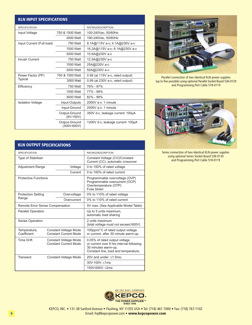| <b>KLN INPUT SPECIFICATIONS</b> |                                  |                                   |  |  |  |  |
|---------------------------------|----------------------------------|-----------------------------------|--|--|--|--|
| <b>SPECIFICATION</b>            |                                  | RATING/DESCRIPTION                |  |  |  |  |
| Input Voltage                   | 750 & 1500 Watt                  | 100-240Vac, 50/60Hz               |  |  |  |  |
|                                 | 3000 Watt                        | 190-240Vac, 50/60Hz               |  |  |  |  |
| Input Current (Full load)       | 750 Watt                         | 8.1A@115V a-c; 4.1A@230V a-c      |  |  |  |  |
|                                 | 1500 Watt                        | 16.2A@115V a-c; 8.1A@230V a-c     |  |  |  |  |
|                                 | 3000 Watt                        | 15.6A@230V a-c                    |  |  |  |  |
| Inrush Current                  | 750 Watt                         | 12.5A@230V a-c                    |  |  |  |  |
|                                 | 1500 Watt                        | 25A@230V a-c                      |  |  |  |  |
|                                 | 3000 Watt                        | 50A@230V a-c                      |  |  |  |  |
| Power Factor (PF)               | 750 & 1500 Watt                  | 0.99 (at 115V a-c, rated output)  |  |  |  |  |
| <b>Typical</b>                  | 3000 Watt                        | 0.99 (at 230V a-c, rated output)  |  |  |  |  |
| Efficiency                      | 750 Watt                         | 76% - 87%                         |  |  |  |  |
|                                 | 1500 Watt                        | 77% - 88%                         |  |  |  |  |
|                                 | 3000 Watt                        | 82% - 88%                         |  |  |  |  |
| <b>Isolation Voltage</b>        | Input-Outputs                    | $2000V$ a-c: 1 minute             |  |  |  |  |
|                                 | Input-Ground                     | $2000V$ a-c: 1 minute             |  |  |  |  |
|                                 | Output-Ground<br>$(6V-150V)$     | 350V d-c, leakage current: 100µA  |  |  |  |  |
|                                 | Output-Ground<br>$(300V - 600V)$ | 1200V d-c, leakage current: 100µA |  |  |  |  |

| <b>KLN OUTPUT SPECIFICATIONS</b> |                                                       |                                                              |                                                                                                                                          |  |  |
|----------------------------------|-------------------------------------------------------|--------------------------------------------------------------|------------------------------------------------------------------------------------------------------------------------------------------|--|--|
| <b>SPECIFICATION</b>             |                                                       |                                                              | RATING/DESCRIPTION                                                                                                                       |  |  |
| <b>Type of Stabilizer</b>        |                                                       |                                                              | Constant Voltage (CV)/Constant<br>Current (CC), automatic crossover                                                                      |  |  |
| <b>Adjustment Range</b>          |                                                       | Voltage                                                      | 0 to 100% of rated voltage                                                                                                               |  |  |
|                                  |                                                       | Current                                                      | 0 to 100% of rated current                                                                                                               |  |  |
| <b>Protective Functions</b>      |                                                       |                                                              | Programmable overvoltage (OVP)<br>Programmable overcurrent (OCP)<br>Overtemperature (OTP)<br>Fuse blown                                  |  |  |
| <b>Protection Setting</b>        |                                                       | Overvoltage                                                  | 0% to 110% of rated voltage                                                                                                              |  |  |
| Range                            |                                                       | Overcurrent                                                  | 0% to 110% of rated current                                                                                                              |  |  |
| Remote Error Sense Compensation  |                                                       |                                                              | 5V max. (See Applicable Model Table)                                                                                                     |  |  |
| <b>Parallel Operation</b>        |                                                       |                                                              | Up to 5 units maximum,<br>automatic load sharing                                                                                         |  |  |
| Series Operation                 |                                                       |                                                              | 2 units maximum<br>(total voltage must not exceed 600V)                                                                                  |  |  |
| Temperature,<br>Coefficient      |                                                       | <b>Constant Voltage Mode</b><br><b>Constant Current Mode</b> | 100ppm/°C of rated output voltage<br>or current, after 30 minute warm-up                                                                 |  |  |
| <b>Time Drift</b>                | Constant Voltage Mode<br><b>Constant Current Mode</b> |                                                              | 0.05% of rated output voltage<br>or current over 8 hrs interval following<br>30 minutes warm-up.<br>Constant line, load and temperature. |  |  |
| <b>Transient</b>                 |                                                       | <b>Constant Voltage Mode</b>                                 | 20V and under: ≤1.5ms;                                                                                                                   |  |  |
|                                  |                                                       |                                                              | 30V-100V: <1ms                                                                                                                           |  |  |
|                                  |                                                       |                                                              | 150V-600V: <2ms                                                                                                                          |  |  |



Parallel connection of two identical KLN power supplies (up to five possible) using optional Parallel Socket Board 536-0129 and Programming Port Cable 518-0119



Series connection of two identical KLN power supplies using optional Series Socket Board 536-0130 and Programming Port Cable 518-0119

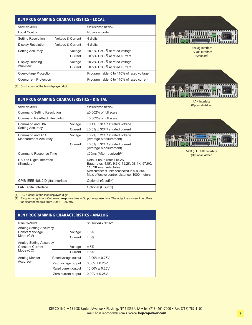#### **KLN PROGRAMMING CHARACTERISTICS - LOCAL**

| <b>SPECIFICATION</b>      |                   | RATING/DESCRIPTION                        |
|---------------------------|-------------------|-------------------------------------------|
| Local Control             |                   | Rotary encoder                            |
| <b>Setting Resolution</b> | Voltage & Current | 4 digits                                  |
| <b>Display Resolution</b> | Voltage & Current | 4 digits                                  |
| <b>Setting Accuracy</b>   | Voltage           | $\pm 0.1\% \pm 3C^{(1)}$ at rated voltage |
|                           | Current           | $\pm 0.5\% \pm 3C^{(1)}$ at rated current |
| Display Reading           | Voltage           | $\pm 0.2\% \pm 3C^{(1)}$ at rated voltage |
| Accuracy                  | Current           | $\pm 0.5\% \pm 3C^{(1)}$ at rated current |
| Overvoltage Protection    |                   | Programmable, 0 to 110% of rated voltage  |
| Overcurrent Protection    |                   | Programmable, 0 to 110% of rated current  |

(1)  $C = 1$  count of the last displayed digit.

| <b>KLN PROGRAMMING CHARACTERISTICS - DIGITAL,</b> |                    |
|---------------------------------------------------|--------------------|
| <b>SPECIFICATION</b>                              | RATING/DESCRIPTION |

| <b>Command Setting Resolution</b>              |         | $\pm 0.002\%$ of full scale                                                                                                                                                                      |
|------------------------------------------------|---------|--------------------------------------------------------------------------------------------------------------------------------------------------------------------------------------------------|
| <b>Command Readback Resolution</b>             |         | $\pm 0.002\%$ of full scale                                                                                                                                                                      |
| Command and D/A                                | Voltage | $\pm 0.1\% \pm 3C^{(1)}$ at rated voltage                                                                                                                                                        |
| <b>Setting Accuracy</b>                        | Current | $\pm 0.5\% \pm 3C^{(1)}$ at rated current                                                                                                                                                        |
| Command and A/D<br><b>Measurement Accuracy</b> | Voltage | $\pm 0.2\% \pm 2C^{(1)}$ at rated voltage<br>(Average Measurement)                                                                                                                               |
|                                                | Current | $\pm 0.5\% \pm 3C^{(1)}$ at rated current<br>(Average Measurement)                                                                                                                               |
| <b>Command Response Time</b>                   |         | $\leq$ 20ms (After received) <sup>(2)</sup>                                                                                                                                                      |
| RS-485 Digital Interface<br>(Standard)         |         | Default baud rate: 115.2K<br>Baud rates: 4.8K, 9.6K, 19.2K, 38.4K, 57.6K,<br>115.2K user selectable<br>Max number of units connected to bus: 254<br>Max. effective control distance: 1000 meters |
| GPIB IEEE 488.2 Digital Interface              |         | Optional (G suffix)                                                                                                                                                                              |
| <b>LAN Digital Interface</b>                   |         | Optional (E suffix)                                                                                                                                                                              |



Analog Interface RS 485 Interface (Standard)



LAN Interface (Optional) Added



GPIB (IEEE 488) Interface (Optional) Added

(1)  $C = 1$  count of the last displayed digit.<br>(2) Programming time = Command resport

(2) Programming time = Command response time + Output response time. The output response time differs for different models, from 30mS ~ 200mS.

| <b>KLN PROGRAMMING CHARACTERISTICS - ANALOG</b>                 |                      |                    |  |  |  |
|-----------------------------------------------------------------|----------------------|--------------------|--|--|--|
| <b>SPECIFICATION</b>                                            |                      | RATING/DESCRIPTION |  |  |  |
| Analog Setting Accuracy<br><b>Constant Voltage</b><br>Mode (CV) | Voltage<br>Current   | ± 5%<br>± 5%       |  |  |  |
| Analog Setting Accuracy<br><b>Constant Current</b><br>Mode (CC) | Voltage<br>Current   | ± 5%<br>± 5%       |  |  |  |
| Analog Monitor                                                  | Rated voltage output | $10.00V \pm 0.25V$ |  |  |  |
| Accuracy                                                        | Zero voltage output  | $0.00V \pm 0.25V$  |  |  |  |
|                                                                 | Rated current output | $10.00V \pm 0.25V$ |  |  |  |
|                                                                 | Zero current output  | $0.00V \pm 0.25V$  |  |  |  |